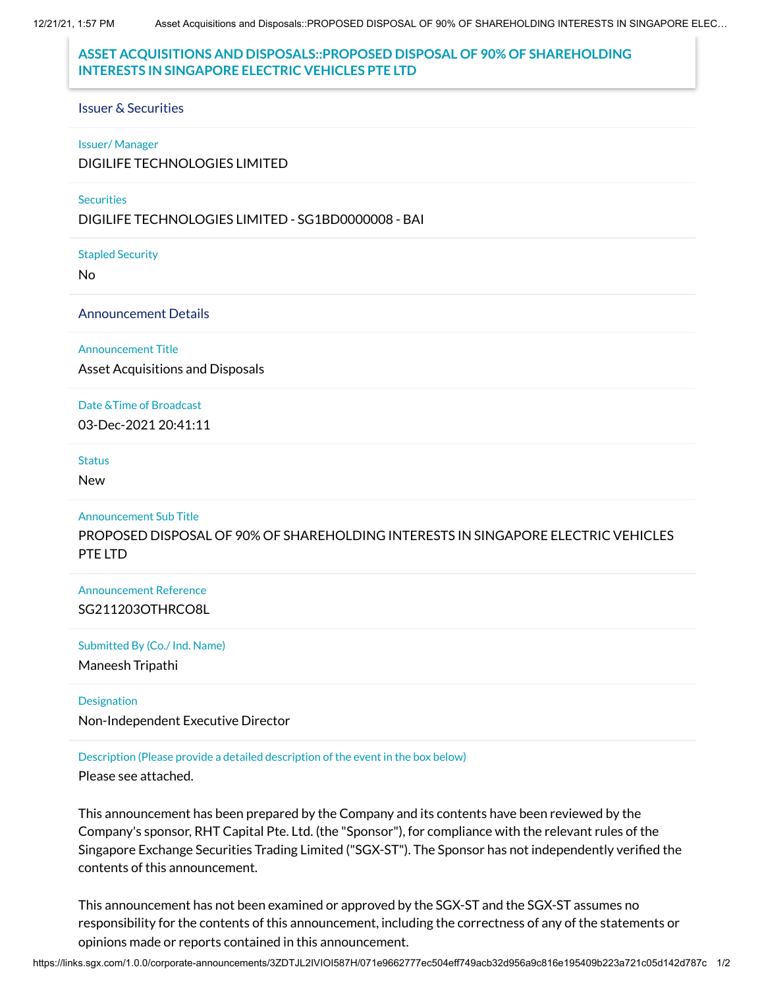12/21/21, 1:57 PM Asset Acquisitions and Disposals::PROPOSED DISPOSAL OF 90% OF SHAREHOLDING INTERESTS IN SINGAPORE ELEC…

# **ASSET ACQUISITIONS AND DISPOSALS::PROPOSED DISPOSAL OF 90% OF SHAREHOLDING INTERESTS IN SINGAPORE ELECTRIC VEHICLES PTE LTD**

#### Issuer & Securities

#### Issuer/ Manager

DIGILIFE TECHNOLOGIES LIMITED

#### **Securities**

DIGILIFE TECHNOLOGIES LIMITED - SG1BD0000008 - BAI

Stapled Security

No

### Announcement Details

Announcement Title

Asset Acquisitions and Disposals

Date &Time of Broadcast 03-Dec-2021 20:41:11

#### **Status**

New

Announcement Sub Title

PROPOSED DISPOSAL OF 90% OF SHAREHOLDING INTERESTS IN SINGAPORE ELECTRIC VEHICLES PTE LTD

Announcement Reference SG211203OTHRCO8L

Submitted By (Co./ Ind. Name)

Maneesh Tripathi

**Designation** 

Non-Independent Executive Director

Description (Please provide a detailed description of the event in the box below)

Please see attached.

This announcement has been prepared by the Company and its contents have been reviewed by the Company's sponsor, RHT Capital Pte. Ltd. (the "Sponsor"), for compliance with the relevant rules of the Singapore Exchange Securities Trading Limited ("SGX-ST"). The Sponsor has not independently verified the contents of this announcement.

This announcement has not been examined or approved by the SGX-ST and the SGX-ST assumes no responsibility for the contents of this announcement, including the correctness of any of the statements or opinions made or reports contained in this announcement.